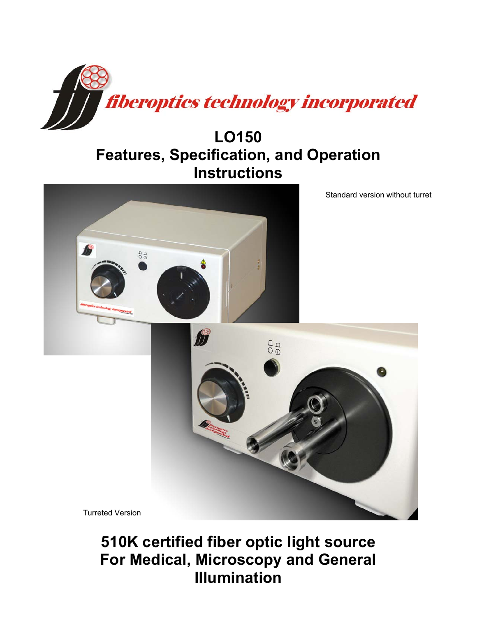

# **LO150 Features, Specification, and Operation Instructions**



**510K certified fiber optic light source For Medical, Microscopy and General Illumination**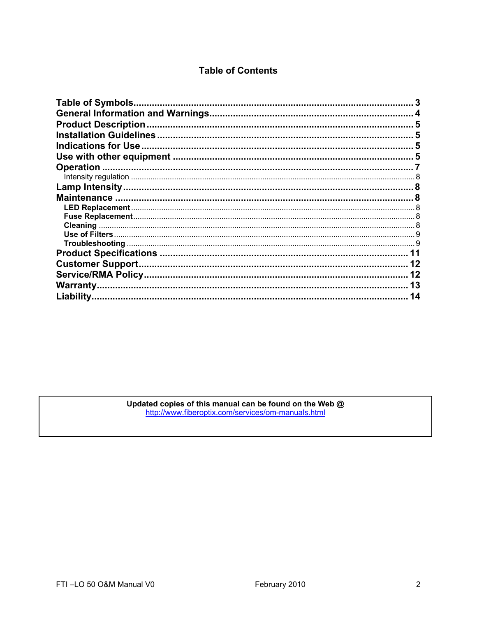# **Table of Contents**

| <b>Table of Symbols.</b>   |    |
|----------------------------|----|
|                            |    |
| <b>Product Description</b> |    |
|                            |    |
| Indications for Use.       |    |
|                            |    |
| Operation                  |    |
|                            |    |
|                            |    |
|                            |    |
|                            |    |
|                            |    |
|                            |    |
|                            |    |
|                            |    |
|                            |    |
| <b>Customer Support</b>    |    |
|                            |    |
| Warranty                   | 13 |
| Liability.                 |    |
|                            |    |

Updated copies of this manual can be found on the Web @<br>http://www.fiberoptix.com/services/om-manuals.html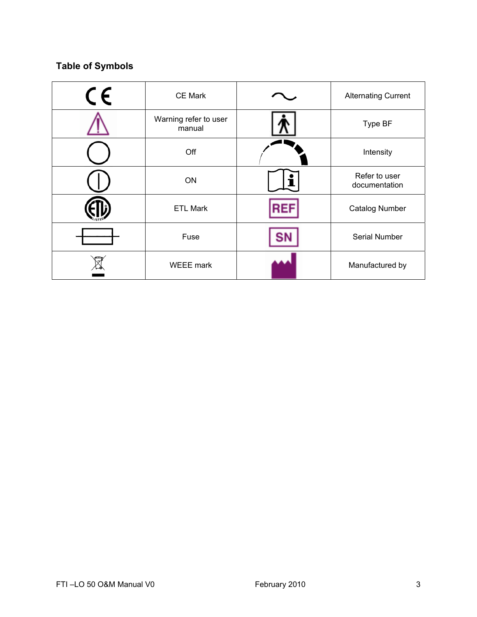# **Table of Symbols**

| $\epsilon$ | <b>CE Mark</b>                  |   | <b>Alternating Current</b>     |
|------------|---------------------------------|---|--------------------------------|
|            | Warning refer to user<br>manual |   | Type BF                        |
|            | Off                             |   | Intensity                      |
|            | ON                              | 1 | Refer to user<br>documentation |
|            | <b>ETL Mark</b>                 |   | <b>Catalog Number</b>          |
|            | Fuse                            |   | Serial Number                  |
|            | <b>WEEE</b> mark                |   | Manufactured by                |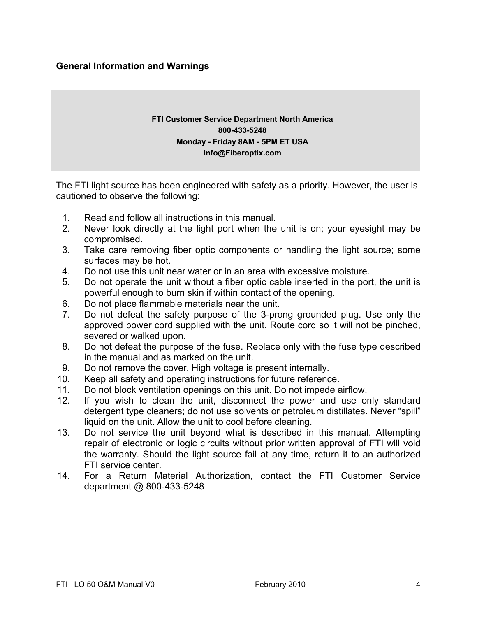## **General Information and Warnings**

## **FTI Customer Service Department North America 800-433-5248 Monday - Friday 8AM - 5PM ET USA Info@Fiberoptix.com**

The FTI light source has been engineered with safety as a priority. However, the user is cautioned to observe the following:

- 1. Read and follow all instructions in this manual.
- 2. Never look directly at the light port when the unit is on; your eyesight may be compromised.
- 3. Take care removing fiber optic components or handling the light source; some surfaces may be hot.
- 4. Do not use this unit near water or in an area with excessive moisture.
- 5. Do not operate the unit without a fiber optic cable inserted in the port, the unit is powerful enough to burn skin if within contact of the opening.
- 6. Do not place flammable materials near the unit.
- 7. Do not defeat the safety purpose of the 3-prong grounded plug. Use only the approved power cord supplied with the unit. Route cord so it will not be pinched, severed or walked upon.
- 8. Do not defeat the purpose of the fuse. Replace only with the fuse type described in the manual and as marked on the unit.
- 9. Do not remove the cover. High voltage is present internally.
- 10. Keep all safety and operating instructions for future reference.
- 11. Do not block ventilation openings on this unit. Do not impede airflow.
- 12. If you wish to clean the unit, disconnect the power and use only standard detergent type cleaners; do not use solvents or petroleum distillates. Never "spill" liquid on the unit. Allow the unit to cool before cleaning.
- 13. Do not service the unit beyond what is described in this manual. Attempting repair of electronic or logic circuits without prior written approval of FTI will void the warranty. Should the light source fail at any time, return it to an authorized FTI service center.
- 14. For a Return Material Authorization, contact the FTI Customer Service department @ 800-433-5248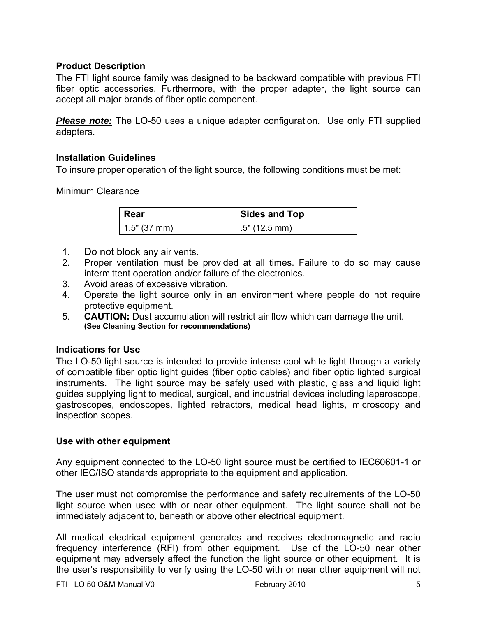# **Product Description**

The FTI light source family was designed to be backward compatible with previous FTI fiber optic accessories. Furthermore, with the proper adapter, the light source can accept all major brands of fiber optic component.

*Please note:* The LO-50 uses a unique adapter configuration. Use only FTI supplied adapters.

# **Installation Guidelines**

To insure proper operation of the light source, the following conditions must be met:

Minimum Clearance

| ∣ Rear       | Sides and Top   |
|--------------|-----------------|
| 1.5" (37 mm) | $.5"$ (12.5 mm) |

- 1. Do not block any air vents.
- 2. Proper ventilation must be provided at all times. Failure to do so may cause intermittent operation and/or failure of the electronics.
- 3. Avoid areas of excessive vibration.
- 4. Operate the light source only in an environment where people do not require protective equipment.
- 5. **CAUTION:** Dust accumulation will restrict air flow which can damage the unit. **(See Cleaning Section for recommendations)**

# **Indications for Use**

The LO-50 light source is intended to provide intense cool white light through a variety of compatible fiber optic light guides (fiber optic cables) and fiber optic lighted surgical instruments. The light source may be safely used with plastic, glass and liquid light guides supplying light to medical, surgical, and industrial devices including laparoscope, gastroscopes, endoscopes, lighted retractors, medical head lights, microscopy and inspection scopes.

## **Use with other equipment**

Any equipment connected to the LO-50 light source must be certified to IEC60601-1 or other IEC/ISO standards appropriate to the equipment and application.

The user must not compromise the performance and safety requirements of the LO-50 light source when used with or near other equipment. The light source shall not be immediately adjacent to, beneath or above other electrical equipment.

All medical electrical equipment generates and receives electromagnetic and radio frequency interference (RFI) from other equipment. Use of the LO-50 near other equipment may adversely affect the function the light source or other equipment. It is the user's responsibility to verify using the LO-50 with or near other equipment will not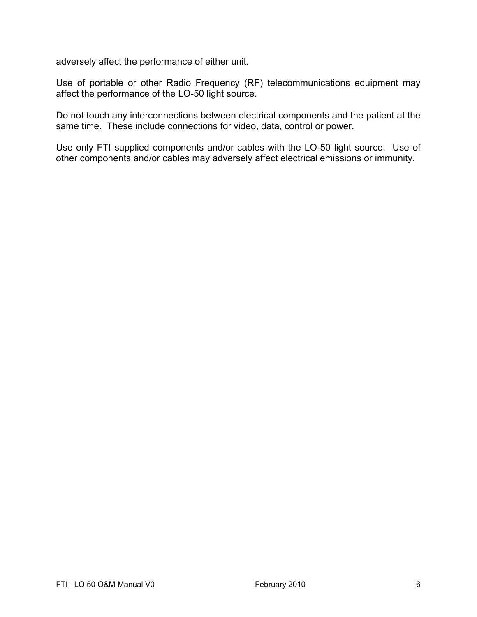adversely affect the performance of either unit.

Use of portable or other Radio Frequency (RF) telecommunications equipment may affect the performance of the LO-50 light source.

Do not touch any interconnections between electrical components and the patient at the same time. These include connections for video, data, control or power.

Use only FTI supplied components and/or cables with the LO-50 light source. Use of other components and/or cables may adversely affect electrical emissions or immunity.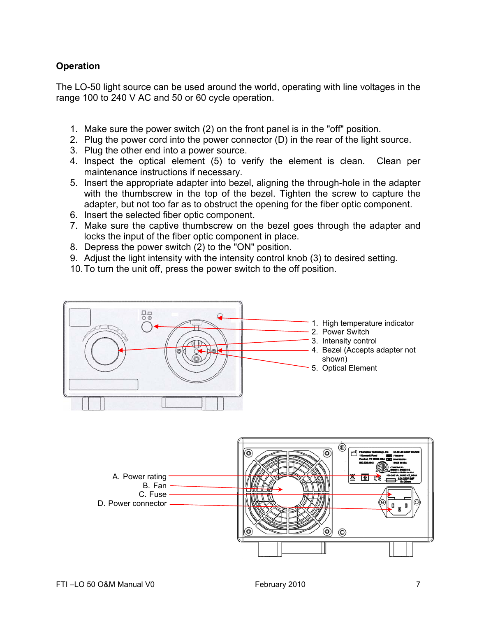# **Operation**

The LO-50 light source can be used around the world, operating with line voltages in the range 100 to 240 V AC and 50 or 60 cycle operation.

- 1. Make sure the power switch (2) on the front panel is in the "off" position.
- 2. Plug the power cord into the power connector (D) in the rear of the light source.
- 3. Plug the other end into a power source.
- 4. Inspect the optical element (5) to verify the element is clean. Clean per maintenance instructions if necessary.
- 5. Insert the appropriate adapter into bezel, aligning the through-hole in the adapter with the thumbscrew in the top of the bezel. Tighten the screw to capture the adapter, but not too far as to obstruct the opening for the fiber optic component.
- 6. Insert the selected fiber optic component.
- 7. Make sure the captive thumbscrew on the bezel goes through the adapter and locks the input of the fiber optic component in place.
- 8. Depress the power switch (2) to the "ON" position.
- 9. Adjust the light intensity with the intensity control knob (3) to desired setting.
- 10. To turn the unit off, press the power switch to the off position.

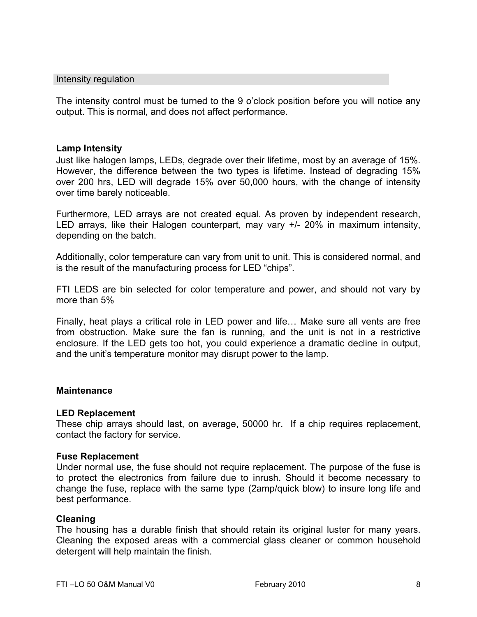#### Intensity regulation

The intensity control must be turned to the 9 o'clock position before you will notice any output. This is normal, and does not affect performance.

#### **Lamp Intensity**

Just like halogen lamps, LEDs, degrade over their lifetime, most by an average of 15%. However, the difference between the two types is lifetime. Instead of degrading 15% over 200 hrs, LED will degrade 15% over 50,000 hours, with the change of intensity over time barely noticeable.

Furthermore, LED arrays are not created equal. As proven by independent research, LED arrays, like their Halogen counterpart, may vary  $+/- 20\%$  in maximum intensity, depending on the batch.

Additionally, color temperature can vary from unit to unit. This is considered normal, and is the result of the manufacturing process for LED "chips".

FTI LEDS are bin selected for color temperature and power, and should not vary by more than 5%

Finally, heat plays a critical role in LED power and life… Make sure all vents are free from obstruction. Make sure the fan is running, and the unit is not in a restrictive enclosure. If the LED gets too hot, you could experience a dramatic decline in output, and the unit's temperature monitor may disrupt power to the lamp.

#### **Maintenance**

#### **LED Replacement**

These chip arrays should last, on average, 50000 hr. If a chip requires replacement, contact the factory for service.

#### **Fuse Replacement**

Under normal use, the fuse should not require replacement. The purpose of the fuse is to protect the electronics from failure due to inrush. Should it become necessary to change the fuse, replace with the same type (2amp/quick blow) to insure long life and best performance.

#### **Cleaning**

The housing has a durable finish that should retain its original luster for many years. Cleaning the exposed areas with a commercial glass cleaner or common household detergent will help maintain the finish.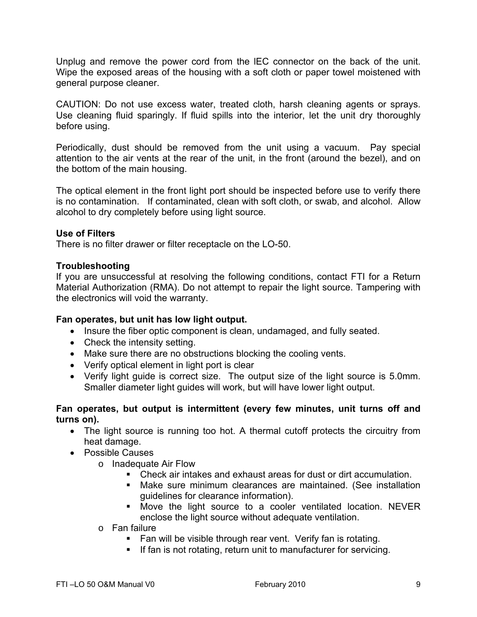Unplug and remove the power cord from the lEC connector on the back of the unit. Wipe the exposed areas of the housing with a soft cloth or paper towel moistened with general purpose cleaner.

CAUTION: Do not use excess water, treated cloth, harsh cleaning agents or sprays. Use cleaning fluid sparingly. If fluid spills into the interior, let the unit dry thoroughly before using.

Periodically, dust should be removed from the unit using a vacuum. Pay special attention to the air vents at the rear of the unit, in the front (around the bezel), and on the bottom of the main housing.

The optical element in the front light port should be inspected before use to verify there is no contamination. If contaminated, clean with soft cloth, or swab, and alcohol. Allow alcohol to dry completely before using light source.

## **Use of Filters**

There is no filter drawer or filter receptacle on the LO-50.

## **Troubleshooting**

If you are unsuccessful at resolving the following conditions, contact FTI for a Return Material Authorization (RMA). Do not attempt to repair the light source. Tampering with the electronics will void the warranty.

## **Fan operates, but unit has low light output.**

- Insure the fiber optic component is clean, undamaged, and fully seated.
- Check the intensity setting.
- Make sure there are no obstructions blocking the cooling vents.
- Verify optical element in light port is clear
- Verify light guide is correct size. The output size of the light source is 5.0mm. Smaller diameter light guides will work, but will have lower light output.

## **Fan operates, but output is intermittent (every few minutes, unit turns off and turns on).**

- The light source is running too hot. A thermal cutoff protects the circuitry from heat damage.
- Possible Causes
	- o Inadequate Air Flow
		- Check air intakes and exhaust areas for dust or dirt accumulation.
		- Make sure minimum clearances are maintained. (See installation guidelines for clearance information).
		- Move the light source to a cooler ventilated location. NEVER enclose the light source without adequate ventilation.
	- o Fan failure
		- Fan will be visible through rear vent. Verify fan is rotating.
		- **If fan is not rotating, return unit to manufacturer for servicing.**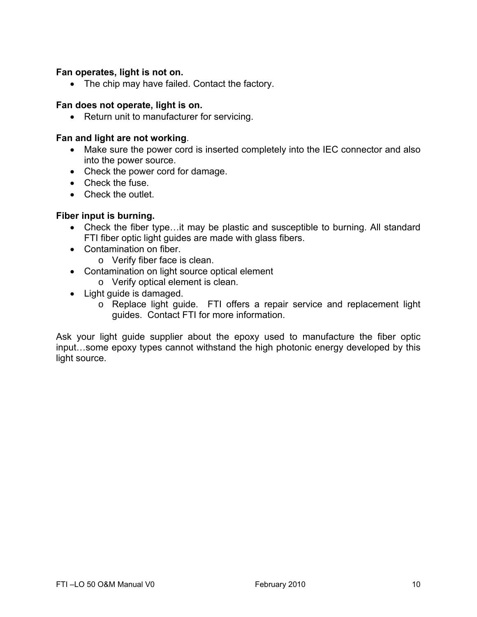## **Fan operates, light is not on.**

• The chip may have failed. Contact the factory.

## **Fan does not operate, light is on.**

• Return unit to manufacturer for servicing.

#### **Fan and light are not working**.

- Make sure the power cord is inserted completely into the IEC connector and also into the power source.
- Check the power cord for damage.
- Check the fuse.
- Check the outlet.

## **Fiber input is burning.**

- Check the fiber type…it may be plastic and susceptible to burning. All standard FTI fiber optic light guides are made with glass fibers.
- Contamination on fiber.
	- o Verify fiber face is clean.
- Contamination on light source optical element
	- o Verify optical element is clean.
- Light guide is damaged.
	- o Replace light guide. FTI offers a repair service and replacement light guides. Contact FTI for more information.

Ask your light guide supplier about the epoxy used to manufacture the fiber optic input…some epoxy types cannot withstand the high photonic energy developed by this light source.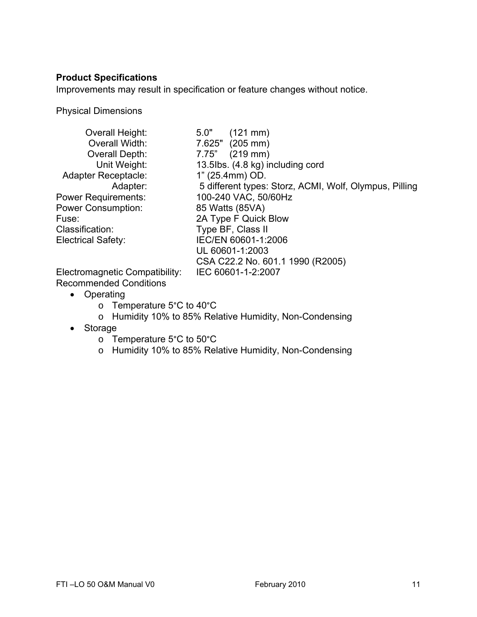## **Product Specifications**

Improvements may result in specification or feature changes without notice.

Physical Dimensions

| Overall Height:                | 5.0"<br>$(121 \, \text{mm})$                           |
|--------------------------------|--------------------------------------------------------|
| Overall Width:                 | 7.625" (205 mm)                                        |
| Overall Depth:                 | $(219 \, \text{mm})$<br>7.75"                          |
| Unit Weight:                   | 13.5lbs. (4.8 kg) including cord                       |
| <b>Adapter Receptacle:</b>     | 1" (25.4mm) OD.                                        |
| Adapter:                       | 5 different types: Storz, ACMI, Wolf, Olympus, Pilling |
| <b>Power Requirements:</b>     | 100-240 VAC, 50/60Hz                                   |
| <b>Power Consumption:</b>      | 85 Watts (85VA)                                        |
| Fuse:                          | 2A Type F Quick Blow                                   |
| Classification:                | Type BF, Class II                                      |
| Electrical Safety:             | IEC/EN 60601-1:2006                                    |
|                                | UL 60601-1:2003                                        |
|                                | CSA C22.2 No. 601.1 1990 (R2005)                       |
| Electromagnetic Compatibility: | IEC 60601-1-2:2007                                     |

Recommended Conditions

- Operating
	- o Temperature 5°C to 40°C
	- o Humidity 10% to 85% Relative Humidity, Non-Condensing
- Storage
	- o Temperature 5°C to 50°C
	- o Humidity 10% to 85% Relative Humidity, Non-Condensing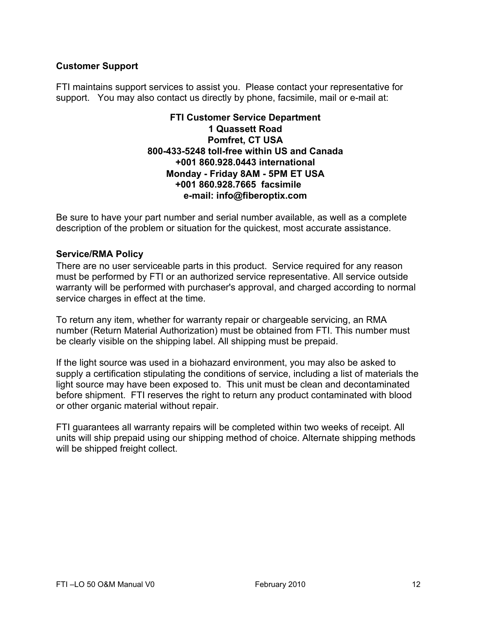# **Customer Support**

FTI maintains support services to assist you. Please contact your representative for support. You may also contact us directly by phone, facsimile, mail or e-mail at:

## **FTI Customer Service Department 1 Quassett Road Pomfret, CT USA 800-433-5248 toll-free within US and Canada +001 860.928.0443 international Monday - Friday 8AM - 5PM ET USA +001 860.928.7665 facsimile e-mail: info@fiberoptix.com**

Be sure to have your part number and serial number available, as well as a complete description of the problem or situation for the quickest, most accurate assistance.

## **Service/RMA Policy**

There are no user serviceable parts in this product. Service required for any reason must be performed by FTI or an authorized service representative. All service outside warranty will be performed with purchaser's approval, and charged according to normal service charges in effect at the time.

To return any item, whether for warranty repair or chargeable servicing, an RMA number (Return Material Authorization) must be obtained from FTI. This number must be clearly visible on the shipping label. All shipping must be prepaid.

If the light source was used in a biohazard environment, you may also be asked to supply a certification stipulating the conditions of service, including a list of materials the light source may have been exposed to. This unit must be clean and decontaminated before shipment. FTI reserves the right to return any product contaminated with blood or other organic material without repair.

FTI guarantees all warranty repairs will be completed within two weeks of receipt. All units will ship prepaid using our shipping method of choice. Alternate shipping methods will be shipped freight collect.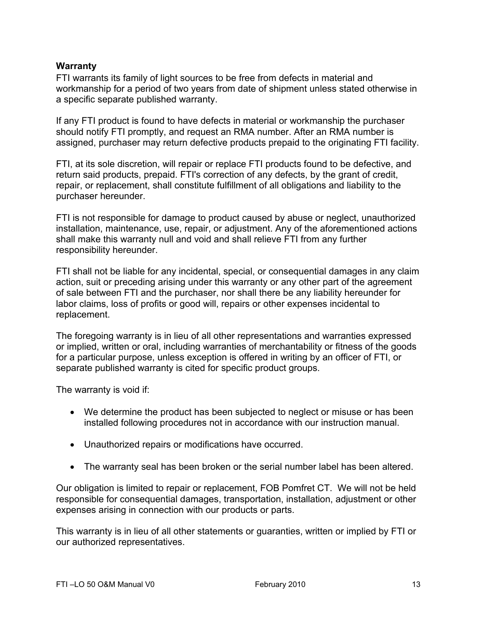## **Warranty**

FTI warrants its family of light sources to be free from defects in material and workmanship for a period of two years from date of shipment unless stated otherwise in a specific separate published warranty.

If any FTI product is found to have defects in material or workmanship the purchaser should notify FTI promptly, and request an RMA number. After an RMA number is assigned, purchaser may return defective products prepaid to the originating FTI facility.

FTI, at its sole discretion, will repair or replace FTI products found to be defective, and return said products, prepaid. FTI's correction of any defects, by the grant of credit, repair, or replacement, shall constitute fulfillment of all obligations and liability to the purchaser hereunder.

FTI is not responsible for damage to product caused by abuse or neglect, unauthorized installation, maintenance, use, repair, or adjustment. Any of the aforementioned actions shall make this warranty null and void and shall relieve FTI from any further responsibility hereunder.

FTI shall not be liable for any incidental, special, or consequential damages in any claim action, suit or preceding arising under this warranty or any other part of the agreement of sale between FTI and the purchaser, nor shall there be any liability hereunder for labor claims, loss of profits or good will, repairs or other expenses incidental to replacement.

The foregoing warranty is in lieu of all other representations and warranties expressed or implied, written or oral, including warranties of merchantability or fitness of the goods for a particular purpose, unless exception is offered in writing by an officer of FTI, or separate published warranty is cited for specific product groups.

The warranty is void if:

- We determine the product has been subjected to neglect or misuse or has been installed following procedures not in accordance with our instruction manual.
- Unauthorized repairs or modifications have occurred.
- The warranty seal has been broken or the serial number label has been altered.

Our obligation is limited to repair or replacement, FOB Pomfret CT. We will not be held responsible for consequential damages, transportation, installation, adjustment or other expenses arising in connection with our products or parts.

This warranty is in lieu of all other statements or guaranties, written or implied by FTI or our authorized representatives.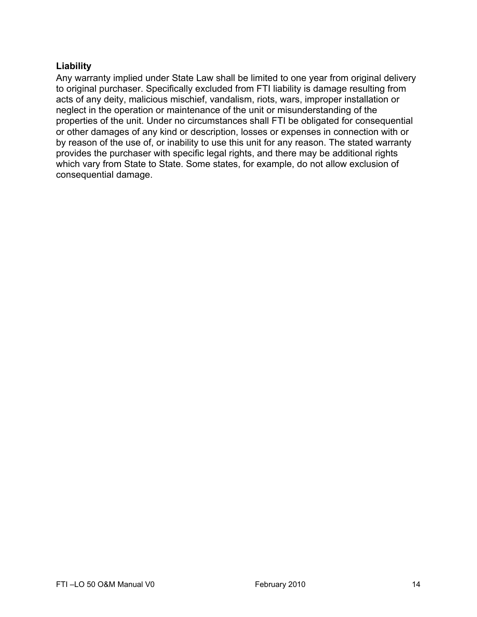# **Liability**

Any warranty implied under State Law shall be limited to one year from original delivery to original purchaser. Specifically excluded from FTI liability is damage resulting from acts of any deity, malicious mischief, vandalism, riots, wars, improper installation or neglect in the operation or maintenance of the unit or misunderstanding of the properties of the unit. Under no circumstances shall FTI be obligated for consequential or other damages of any kind or description, losses or expenses in connection with or by reason of the use of, or inability to use this unit for any reason. The stated warranty provides the purchaser with specific legal rights, and there may be additional rights which vary from State to State. Some states, for example, do not allow exclusion of consequential damage.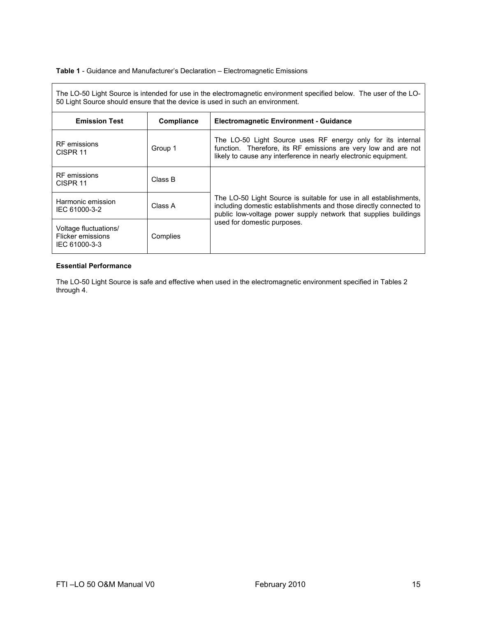#### **Table 1** - Guidance and Manufacturer's Declaration – Electromagnetic Emissions

The LO-50 Light Source is intended for use in the electromagnetic environment specified below. The user of the LO-50 Light Source should ensure that the device is used in such an environment.

| <b>Emission Test</b>                                        | Compliance | <b>Electromagnetic Environment - Guidance</b>                                                                                                                                                             |
|-------------------------------------------------------------|------------|-----------------------------------------------------------------------------------------------------------------------------------------------------------------------------------------------------------|
| <b>RF</b> emissions<br>CISPR <sub>11</sub>                  | Group 1    | The LO-50 Light Source uses RF energy only for its internal<br>function. Therefore, its RF emissions are very low and are not<br>likely to cause any interference in nearly electronic equipment.         |
| <b>RF</b> emissions<br>CISPR <sub>11</sub>                  | Class B    |                                                                                                                                                                                                           |
| Harmonic emission<br>IEC 61000-3-2                          | Class A    | The LO-50 Light Source is suitable for use in all establishments,<br>including domestic establishments and those directly connected to<br>public low-voltage power supply network that supplies buildings |
| Voltage fluctuations/<br>Flicker emissions<br>IEC 61000-3-3 | Complies   | used for domestic purposes.                                                                                                                                                                               |

#### **Essential Performance**

The LO-50 Light Source is safe and effective when used in the electromagnetic environment specified in Tables 2 through 4.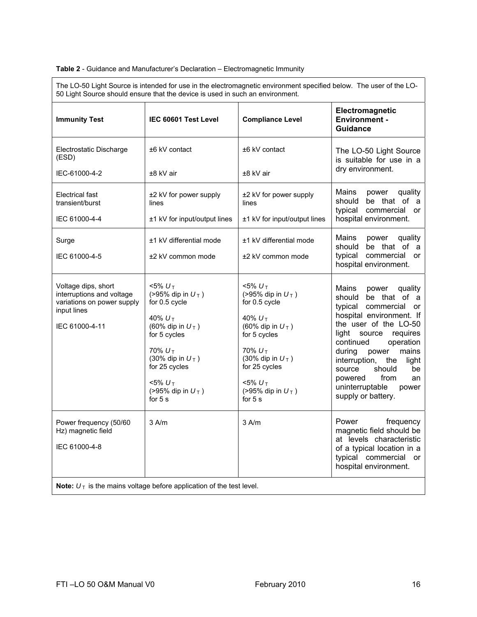#### **Table 2** - Guidance and Manufacturer's Declaration – Electromagnetic Immunity

The LO-50 Light Source is intended for use in the electromagnetic environment specified below. The user of the LO-50 Light Source should ensure that the device is used in such an environment.

| <b>Immunity Test</b>                                                                                            | IEC 60601 Test Level                                                                                                                                                                                                     | <b>Compliance Level</b>                                                                                                                                                                                                  | Electromagnetic<br><b>Environment -</b><br><b>Guidance</b>                                                                                                                                                                                                                                                                                       |  |
|-----------------------------------------------------------------------------------------------------------------|--------------------------------------------------------------------------------------------------------------------------------------------------------------------------------------------------------------------------|--------------------------------------------------------------------------------------------------------------------------------------------------------------------------------------------------------------------------|--------------------------------------------------------------------------------------------------------------------------------------------------------------------------------------------------------------------------------------------------------------------------------------------------------------------------------------------------|--|
| Electrostatic Discharge<br>(ESD)                                                                                | ±6 kV contact                                                                                                                                                                                                            | ±6 kV contact                                                                                                                                                                                                            | The LO-50 Light Source<br>is suitable for use in a<br>dry environment.                                                                                                                                                                                                                                                                           |  |
| IEC-61000-4-2                                                                                                   | ±8 kV air                                                                                                                                                                                                                | ±8 kV air                                                                                                                                                                                                                |                                                                                                                                                                                                                                                                                                                                                  |  |
| Electrical fast<br>transient/burst                                                                              | ±2 kV for power supply<br>lines                                                                                                                                                                                          | ±2 kV for power supply<br>lines                                                                                                                                                                                          | Mains<br>quality<br>power<br>should be that of a<br>typical<br>commercial or                                                                                                                                                                                                                                                                     |  |
| IEC 61000-4-4                                                                                                   | ±1 kV for input/output lines                                                                                                                                                                                             | ±1 kV for input/output lines                                                                                                                                                                                             | hospital environment.                                                                                                                                                                                                                                                                                                                            |  |
| Surge                                                                                                           | ±1 kV differential mode                                                                                                                                                                                                  | ±1 kV differential mode                                                                                                                                                                                                  | Mains<br>power quality<br>be that of a<br>should                                                                                                                                                                                                                                                                                                 |  |
| IEC 61000-4-5                                                                                                   | ±2 kV common mode                                                                                                                                                                                                        | ±2 kV common mode                                                                                                                                                                                                        | typical<br>commercial or<br>hospital environment.                                                                                                                                                                                                                                                                                                |  |
| Voltage dips, short<br>interruptions and voltage<br>variations on power supply<br>input lines<br>IEC 61000-4-11 | $<$ 5% $U_{\tau}$<br>(>95% dip in $U_T$ )<br>for 0.5 cycle<br>40% $U_T$<br>(60% dip in $U_T$ )<br>for 5 cycles<br>70% $U_{T}$<br>(30% dip in $U_T$ )<br>for 25 cycles<br>$< 5\% U_T$<br>(>95% dip in $U_T$ )<br>for $5s$ | $<$ 5% $U_{\tau}$<br>(>95% dip in $U_T$ )<br>for 0.5 cycle<br>40% $U_T$<br>(60% dip in $U_T$ )<br>for 5 cycles<br>70% $U_{T}$<br>(30% dip in $U_T$ )<br>for 25 cycles<br>$< 5\% U_T$<br>(>95% dip in $U_T$ )<br>for $5s$ | Mains<br>quality<br>power<br>should be that of a<br>typical commercial or<br>hospital environment. If<br>the user of the LO-50<br>light source requires<br>continued<br>operation<br>during<br>power<br>mains<br>interruption, the<br>light<br>should<br>source<br>be<br>from<br>powered<br>an<br>uninterruptable<br>power<br>supply or battery. |  |
| Power frequency (50/60<br>Hz) magnetic field<br>IEC 61000-4-8                                                   | $3$ A/m                                                                                                                                                                                                                  | $3$ A/m                                                                                                                                                                                                                  | frequency<br>Power<br>magnetic field should be<br>at levels characteristic<br>of a typical location in a<br>typical commercial or<br>hospital environment.                                                                                                                                                                                       |  |
| Note: $U_T$ is the mains voltage before application of the test level.                                          |                                                                                                                                                                                                                          |                                                                                                                                                                                                                          |                                                                                                                                                                                                                                                                                                                                                  |  |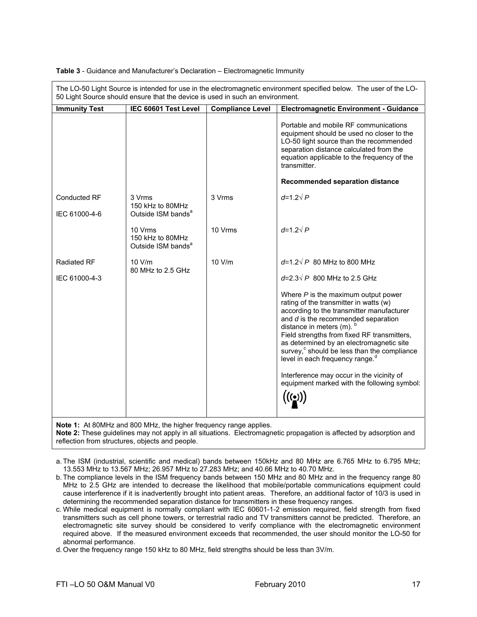| The LO-50 Light Source is intended for use in the electromagnetic environment specified below. The user of the LO-<br>50 Light Source should ensure that the device is used in such an environment. |                                                               |                         |                                                                                                                                                                                                                                                                                                                                                                                                                                                                                                       |
|-----------------------------------------------------------------------------------------------------------------------------------------------------------------------------------------------------|---------------------------------------------------------------|-------------------------|-------------------------------------------------------------------------------------------------------------------------------------------------------------------------------------------------------------------------------------------------------------------------------------------------------------------------------------------------------------------------------------------------------------------------------------------------------------------------------------------------------|
| <b>Immunity Test</b>                                                                                                                                                                                | IEC 60601 Test Level                                          | <b>Compliance Level</b> | <b>Electromagnetic Environment - Guidance</b>                                                                                                                                                                                                                                                                                                                                                                                                                                                         |
|                                                                                                                                                                                                     |                                                               |                         | Portable and mobile RF communications<br>equipment should be used no closer to the<br>LO-50 light source than the recommended<br>separation distance calculated from the<br>equation applicable to the frequency of the<br>transmitter.                                                                                                                                                                                                                                                               |
|                                                                                                                                                                                                     |                                                               |                         | <b>Recommended separation distance</b>                                                                                                                                                                                                                                                                                                                                                                                                                                                                |
| <b>Conducted RF</b><br>IEC 61000-4-6                                                                                                                                                                | 3 Vrms<br>150 kHz to 80MHz<br>Outside ISM bands <sup>a</sup>  | 3 Vrms                  | $d=1.2\sqrt{P}$                                                                                                                                                                                                                                                                                                                                                                                                                                                                                       |
|                                                                                                                                                                                                     | 10 Vrms<br>150 kHz to 80MHz<br>Outside ISM bands <sup>a</sup> | 10 Vrms                 | $d=1.2\sqrt{P}$                                                                                                                                                                                                                                                                                                                                                                                                                                                                                       |
| <b>Radiated RF</b>                                                                                                                                                                                  | 10 V/m<br>80 MHz to 2.5 GHz                                   | 10 V/m                  | $d=1.2\sqrt{P}$ 80 MHz to 800 MHz                                                                                                                                                                                                                                                                                                                                                                                                                                                                     |
| IEC 61000-4-3                                                                                                                                                                                       |                                                               |                         | $d=2.3\sqrt{P}$ 800 MHz to 2.5 GHz                                                                                                                                                                                                                                                                                                                                                                                                                                                                    |
|                                                                                                                                                                                                     |                                                               |                         | Where $P$ is the maximum output power<br>rating of the transmitter in watts (w)<br>according to the transmitter manufacturer<br>and $d$ is the recommended separation<br>distance in meters (m). $b$<br>Field strengths from fixed RF transmitters,<br>as determined by an electromagnetic site<br>survey, <sup>c</sup> should be less than the compliance<br>level in each frequency range. <sup>d</sup><br>Interference may occur in the vicinity of<br>equipment marked with the following symbol: |

#### **Table 3** - Guidance and Manufacturer's Declaration – Electromagnetic Immunity

**Note 1:** At 80MHz and 800 MHz, the higher frequency range applies.

**Note 2:** These guidelines may not apply in all situations. Electromagnetic propagation is affected by adsorption and reflection from structures, objects and people.

a. The ISM (industrial, scientific and medical) bands between 150kHz and 80 MHz are 6.765 MHz to 6.795 MHz; 13.553 MHz to 13.567 MHz; 26.957 MHz to 27.283 MHz; and 40.66 MHz to 40.70 MHz.

b. The compliance levels in the ISM frequency bands between 150 MHz and 80 MHz and in the frequency range 80 MHz to 2.5 GHz are intended to decrease the likelihood that mobile/portable communications equipment could cause interference if it is inadvertently brought into patient areas. Therefore, an additional factor of 10/3 is used in determining the recommended separation distance for transmitters in these frequency ranges.

c. While medical equipment is normally compliant with IEC 60601-1-2 emission required, field strength from fixed transmitters such as cell phone towers, or terrestrial radio and TV transmitters cannot be predicted. Therefore, an electromagnetic site survey should be considered to verify compliance with the electromagnetic environment required above. If the measured environment exceeds that recommended, the user should monitor the LO-50 for abnormal performance.

d. Over the frequency range 150 kHz to 80 MHz, field strengths should be less than 3V/m.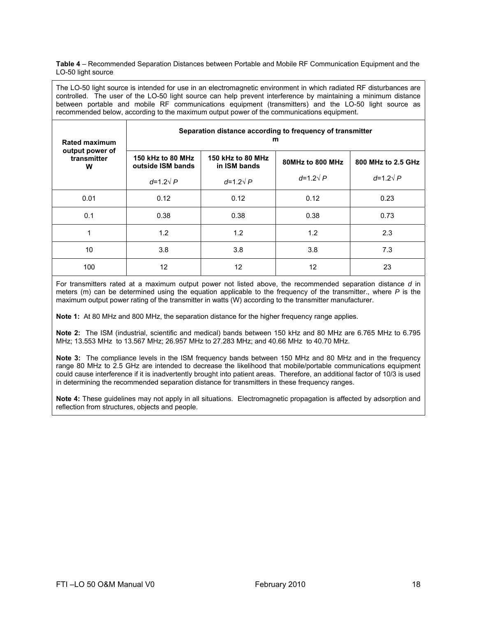**Table 4** – Recommended Separation Distances between Portable and Mobile RF Communication Equipment and the LO-50 light source

The LO-50 light source is intended for use in an electromagnetic environment in which radiated RF disturbances are controlled. The user of the LO-50 light source can help prevent interference by maintaining a minimum distance between portable and mobile RF communications equipment (transmitters) and the LO-50 light source as recommended below, according to the maximum output power of the communications equipment.

| <b>Rated maximum</b>                | Separation distance according to frequency of transmitter<br>m |                                   |                  |                    |
|-------------------------------------|----------------------------------------------------------------|-----------------------------------|------------------|--------------------|
| output power of<br>transmitter<br>w | 150 kHz to 80 MHz<br>outside ISM bands                         | 150 kHz to 80 MHz<br>in ISM bands | 80MHz to 800 MHz | 800 MHz to 2.5 GHz |
|                                     | $d=1.2\sqrt{P}$                                                | $d=1.2\sqrt{P}$                   | $d=1.2\sqrt{P}$  | $d=1.2\sqrt{P}$    |
| 0.01                                | 0.12                                                           | 0.12                              | 0.12             | 0.23               |
| 0.1                                 | 0.38                                                           | 0.38                              | 0.38             | 0.73               |
| 1                                   | 1.2                                                            | 1.2                               | 1.2              | 2.3                |
| 10                                  | 3.8                                                            | 3.8                               | 3.8              | 7.3                |
| 100                                 | 12                                                             | 12                                | 12               | 23                 |

For transmitters rated at a maximum output power not listed above, the recommended separation distance *d* in meters (m) can be determined using the equation applicable to the frequency of the transmitter., where *P* is the maximum output power rating of the transmitter in watts (W) according to the transmitter manufacturer.

**Note 1:** At 80 MHz and 800 MHz, the separation distance for the higher frequency range applies.

**Note 2:** The ISM (industrial, scientific and medical) bands between 150 kHz and 80 MHz are 6.765 MHz to 6.795 MHz; 13.553 MHz to 13.567 MHz; 26.957 MHz to 27.283 MHz; and 40.66 MHz to 40.70 MHz.

**Note 3:** The compliance levels in the ISM frequency bands between 150 MHz and 80 MHz and in the frequency range 80 MHz to 2.5 GHz are intended to decrease the likelihood that mobile/portable communications equipment could cause interference if it is inadvertently brought into patient areas. Therefore, an additional factor of 10/3 is used in determining the recommended separation distance for transmitters in these frequency ranges.

**Note 4:** These guidelines may not apply in all situations. Electromagnetic propagation is affected by adsorption and reflection from structures, objects and people.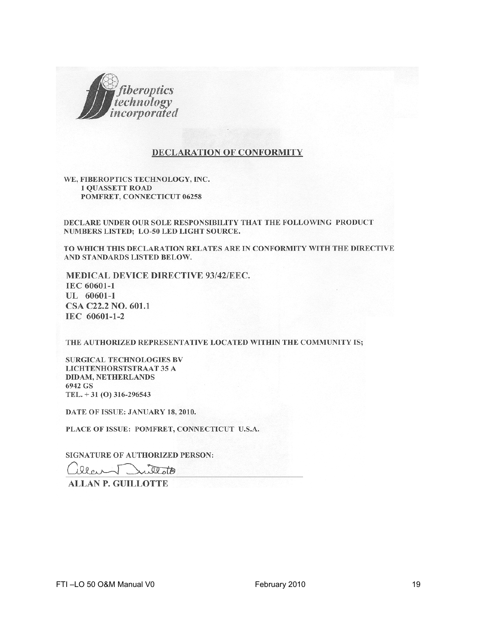

#### **DECLARATION OF CONFORMITY**

WE, FIBEROPTICS TECHNOLOGY, INC. **1 QUASSETT ROAD** POMFRET, CONNECTICUT 06258

DECLARE UNDER OUR SOLE RESPONSIBILITY THAT THE FOLLOWING PRODUCT NUMBERS LISTED; LO-50 LED LIGHT SOURCE.

TO WHICH THIS DECLARATION RELATES ARE IN CONFORMITY WITH THE DIRECTIVE AND STANDARDS LISTED BELOW.

MEDICAL DEVICE DIRECTIVE 93/42/EEC. IEC 60601-1 UL 60601-1 CSA C22.2 NO. 601.1 IEC 60601-1-2

THE AUTHORIZED REPRESENTATIVE LOCATED WITHIN THE COMMUNITY IS;

SURGICAL TECHNOLOGIES BV **LICHTENHORSTSTRAAT 35 A DIDAM, NETHERLANDS** 6942 GS TEL.  $+31$  (O) 316-296543

DATE OF ISSUE: JANUARY 18, 2010.

PLACE OF ISSUE: POMFRET, CONNECTICUT U.S.A.

SIGNATURE OF AUTHORIZED PERSON:

iller Dullotte

**ALLAN P. GUILLOTTE**